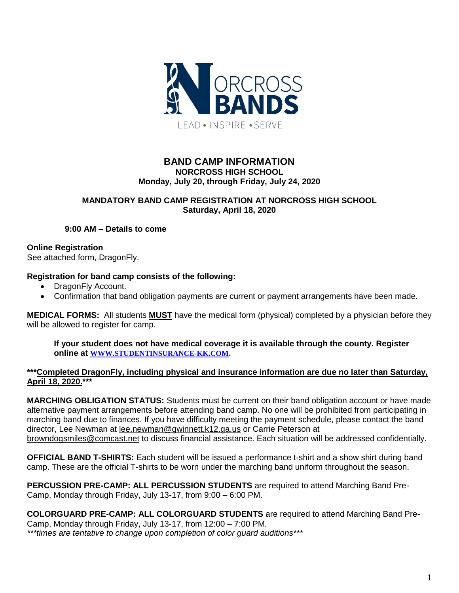

## **BAND CAMP INFORMATION NORCROSS HIGH SCHOOL Monday, July 20, through Friday, July 24, 2020**

## **MANDATORY BAND CAMP REGISTRATION AT NORCROSS HIGH SCHOOL Saturday, April 18, 2020**

**9:00 AM – Details to come**

**Online Registration** 

See attached form, DragonFly.

# **Registration for band camp consists of the following:**

- DragonFly Account.
- Confirmation that band obligation payments are current or payment arrangements have been made.

**MEDICAL FORMS:** All students **MUST** have the medical form (physical) completed by a physician before they will be allowed to register for camp.

**If your student does not have medical coverage it is available through the county. Register online at [WWW.STUDENTINSURANCE-KK.COM.](http://www.studentinsurance-kk.com/)**

#### **\*\*\*Completed DragonFly, including physical and insurance information are due no later than Saturday, April 18, 2020.\*\*\***

**MARCHING OBLIGATION STATUS:** Students must be current on their band obligation account or have made alternative payment arrangements before attending band camp. No one will be prohibited from participating in marching band due to finances. If you have difficulty meeting the payment schedule, please contact the band director, Lee Newman at [lee.newman@gwinnett.k12.ga.us](mailto:lee.newman@gwinnett.k12.ga.us) or Carrie Peterson at [browndogsmiles@comcast.net](mailto:browndogsmiles@comcast.net) to discuss financial assistance. Each situation will be addressed confidentially.

**OFFICIAL BAND T-SHIRTS:** Each student will be issued a performance t-shirt and a show shirt during band camp. These are the official T-shirts to be worn under the marching band uniform throughout the season.

**PERCUSSION PRE-CAMP: ALL PERCUSSION STUDENTS** are required to attend Marching Band Pre-Camp, Monday through Friday, July 13-17, from 9:00 – 6:00 PM.

**COLORGUARD PRE-CAMP: ALL COLORGUARD STUDENTS** are required to attend Marching Band Pre-Camp, Monday through Friday, July 13-17, from 12:00 – 7:00 PM. *\*\*\*times are tentative to change upon completion of color guard auditions\*\*\**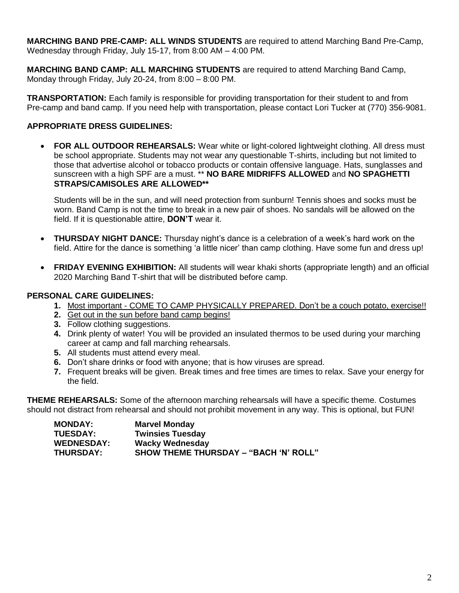**MARCHING BAND PRE-CAMP: ALL WINDS STUDENTS** are required to attend Marching Band Pre-Camp, Wednesday through Friday, July 15-17, from 8:00 AM – 4:00 PM.

**MARCHING BAND CAMP: ALL MARCHING STUDENTS** are required to attend Marching Band Camp, Monday through Friday, July 20-24, from 8:00 – 8:00 PM.

**TRANSPORTATION:** Each family is responsible for providing transportation for their student to and from Pre-camp and band camp. If you need help with transportation, please contact Lori Tucker at (770) 356-9081.

## **APPROPRIATE DRESS GUIDELINES:**

 **FOR ALL OUTDOOR REHEARSALS:** Wear white or light-colored lightweight clothing. All dress must be school appropriate. Students may not wear any questionable T-shirts, including but not limited to those that advertise alcohol or tobacco products or contain offensive language. Hats, sunglasses and sunscreen with a high SPF are a must. \*\* **NO BARE MIDRIFFS ALLOWED** and **NO SPAGHETTI STRAPS/CAMISOLES ARE ALLOWED\*\***

Students will be in the sun, and will need protection from sunburn! Tennis shoes and socks must be worn. Band Camp is not the time to break in a new pair of shoes. No sandals will be allowed on the field. If it is questionable attire, **DON'T** wear it.

- **THURSDAY NIGHT DANCE:** Thursday night's dance is a celebration of a week's hard work on the field. Attire for the dance is something 'a little nicer' than camp clothing. Have some fun and dress up!
- **FRIDAY EVENING EXHIBITION:** All students will wear khaki shorts (appropriate length) and an official 2020 Marching Band T-shirt that will be distributed before camp.

#### **PERSONAL CARE GUIDELINES:**

- **1.** Most important COME TO CAMP PHYSICALLY PREPARED. Don't be a couch potato, exercise!!
- **2.** Get out in the sun before band camp begins!
- **3.** Follow clothing suggestions.
- **4.** Drink plenty of water! You will be provided an insulated thermos to be used during your marching career at camp and fall marching rehearsals.
- **5.** All students must attend every meal.
- **6.** Don't share drinks or food with anyone; that is how viruses are spread.
- **7.** Frequent breaks will be given. Break times and free times are times to relax. Save your energy for the field.

**THEME REHEARSALS:** Some of the afternoon marching rehearsals will have a specific theme. Costumes should not distract from rehearsal and should not prohibit movement in any way. This is optional, but FUN!

| <b>MONDAY:</b>    | <b>Marvel Monday</b>                         |
|-------------------|----------------------------------------------|
| <b>TUESDAY:</b>   | <b>Twinsies Tuesday</b>                      |
| <b>WEDNESDAY:</b> | <b>Wacky Wednesday</b>                       |
| <b>THURSDAY:</b>  | <b>SHOW THEME THURSDAY - "BACH 'N' ROLL"</b> |